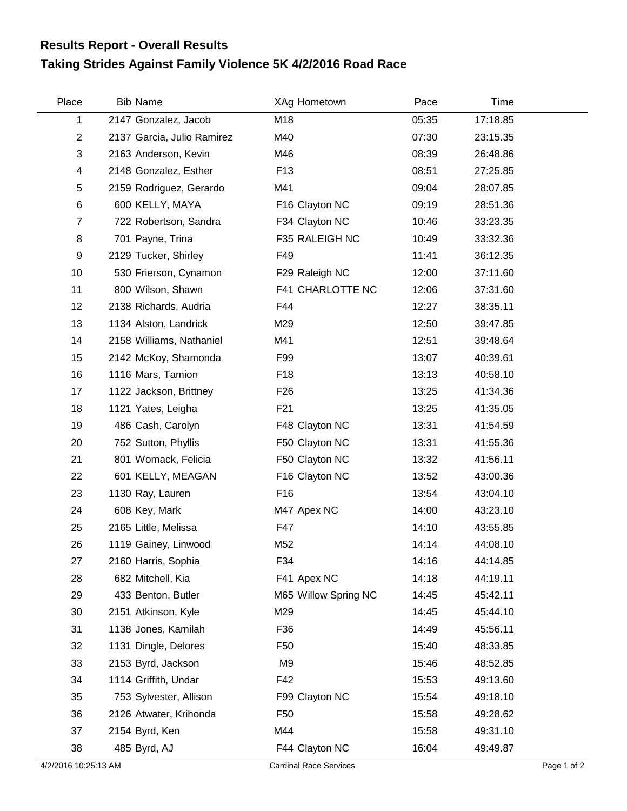## **Taking Strides Against Family Violence 5K 4/2/2016 Road Race Results Report - Overall Results**

| Place                   | <b>Bib Name</b>            | XAg Hometown         | Pace  | Time     |  |
|-------------------------|----------------------------|----------------------|-------|----------|--|
| 1                       | 2147 Gonzalez, Jacob       | M18                  | 05:35 | 17:18.85 |  |
| $\overline{2}$          | 2137 Garcia, Julio Ramirez | M40                  | 07:30 | 23:15.35 |  |
| 3                       | 2163 Anderson, Kevin       | M46                  | 08:39 | 26:48.86 |  |
| $\overline{\mathbf{4}}$ | 2148 Gonzalez, Esther      | F <sub>13</sub>      | 08:51 | 27:25.85 |  |
| 5                       | 2159 Rodriguez, Gerardo    | M41                  | 09:04 | 28:07.85 |  |
| 6                       | 600 KELLY, MAYA            | F16 Clayton NC       | 09:19 | 28:51.36 |  |
| 7                       | 722 Robertson, Sandra      | F34 Clayton NC       | 10:46 | 33:23.35 |  |
| 8                       | 701 Payne, Trina           | F35 RALEIGH NC       | 10:49 | 33:32.36 |  |
| 9                       | 2129 Tucker, Shirley       | F49                  | 11:41 | 36:12.35 |  |
| 10                      | 530 Frierson, Cynamon      | F29 Raleigh NC       | 12:00 | 37:11.60 |  |
| 11                      | 800 Wilson, Shawn          | F41 CHARLOTTE NC     | 12:06 | 37:31.60 |  |
| 12                      | 2138 Richards, Audria      | F44                  | 12:27 | 38:35.11 |  |
| 13                      | 1134 Alston, Landrick      | M29                  | 12:50 | 39:47.85 |  |
| 14                      | 2158 Williams, Nathaniel   | M41                  | 12:51 | 39:48.64 |  |
| 15                      | 2142 McKoy, Shamonda       | F99                  | 13:07 | 40:39.61 |  |
| 16                      | 1116 Mars, Tamion          | F <sub>18</sub>      | 13:13 | 40:58.10 |  |
| 17                      | 1122 Jackson, Brittney     | F <sub>26</sub>      | 13:25 | 41:34.36 |  |
| 18                      | 1121 Yates, Leigha         | F <sub>21</sub>      | 13:25 | 41:35.05 |  |
| 19                      | 486 Cash, Carolyn          | F48 Clayton NC       | 13:31 | 41:54.59 |  |
| 20                      | 752 Sutton, Phyllis        | F50 Clayton NC       | 13:31 | 41:55.36 |  |
| 21                      | 801 Womack, Felicia        | F50 Clayton NC       | 13:32 | 41:56.11 |  |
| 22                      | 601 KELLY, MEAGAN          | F16 Clayton NC       | 13:52 | 43:00.36 |  |
| 23                      | 1130 Ray, Lauren           | F16                  | 13:54 | 43:04.10 |  |
| 24                      | 608 Key, Mark              | M47 Apex NC          | 14:00 | 43:23.10 |  |
| 25                      | 2165 Little, Melissa       | F47                  | 14:10 | 43:55.85 |  |
| 26                      | 1119 Gainey, Linwood       | M52                  | 14:14 | 44:08.10 |  |
| 27                      | 2160 Harris, Sophia        | F34                  | 14:16 | 44:14.85 |  |
| 28                      | 682 Mitchell, Kia          | F41 Apex NC          | 14:18 | 44:19.11 |  |
| 29                      | 433 Benton, Butler         | M65 Willow Spring NC | 14:45 | 45:42.11 |  |
| 30                      | 2151 Atkinson, Kyle        | M29                  | 14:45 | 45:44.10 |  |
| 31                      | 1138 Jones, Kamilah        | F36                  | 14:49 | 45:56.11 |  |
| 32                      | 1131 Dingle, Delores       | F <sub>50</sub>      | 15:40 | 48:33.85 |  |
| 33                      | 2153 Byrd, Jackson         | M <sub>9</sub>       | 15:46 | 48:52.85 |  |
| 34                      | 1114 Griffith, Undar       | F42                  | 15:53 | 49:13.60 |  |
| 35                      | 753 Sylvester, Allison     | F99 Clayton NC       | 15:54 | 49:18.10 |  |
| 36                      | 2126 Atwater, Krihonda     | F <sub>50</sub>      | 15:58 | 49:28.62 |  |
| 37                      | 2154 Byrd, Ken             | M44                  | 15:58 | 49:31.10 |  |
| 38                      | 485 Byrd, AJ               | F44 Clayton NC       | 16:04 | 49:49.87 |  |